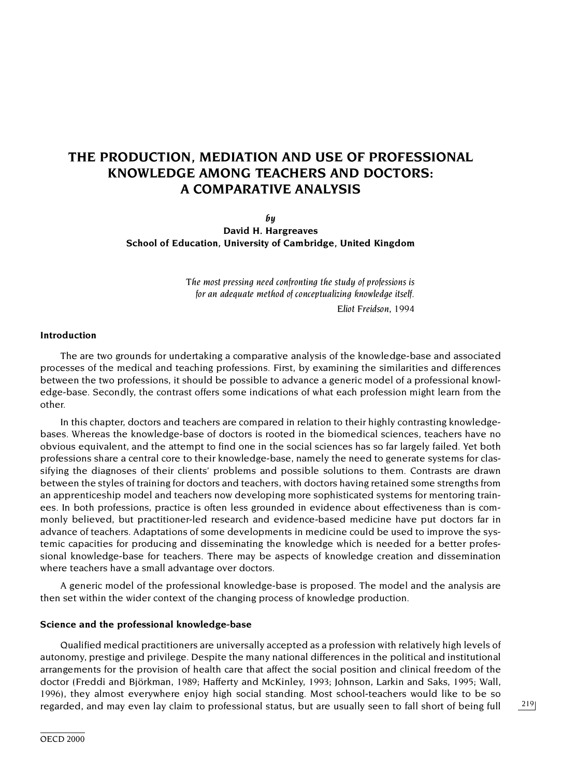# **THE PRODUCTION, MEDIATION AND USE OF PROFESSIONAL KNOWLEDGE AMONG TEACHERS AND DOCTORS: A COMPARATIVE ANALYSIS**

*by*

**David H. Hargreaves School of Education, University of Cambridge, United Kingdom**

> *The most pressing need confronting the study of professions is for an adequate method of conceptualizing knowledge itself. Eliot Freidson, 1994*

# **Introduction**

The are two grounds for undertaking a comparative analysis of the knowledge-base and associated processes of the medical and teaching professions. First, by examining the similarities and differences between the two professions, it should be possible to advance a generic model of a professional knowledge-base. Secondly, the contrast offers some indications of what each profession might learn from the other.

In this chapter, doctors and teachers are compared in relation to their highly contrasting knowledgebases. Whereas the knowledge-base of doctors is rooted in the biomedical sciences, teachers have no obvious equivalent, and the attempt to find one in the social sciences has so far largely failed. Yet both professions share a central core to their knowledge-base, namely the need to generate systems for classifying the diagnoses of their clients' problems and possible solutions to them. Contrasts are drawn between the styles of training for doctors and teachers, with doctors having retained some strengths from an apprenticeship model and teachers now developing more sophisticated systems for mentoring trainees. In both professions, practice is often less grounded in evidence about effectiveness than is commonly believed, but practitioner-led research and evidence-based medicine have put doctors far in advance of teachers. Adaptations of some developments in medicine could be used to improve the systemic capacities for producing and disseminating the knowledge which is needed for a better professional knowledge-base for teachers. There may be aspects of knowledge creation and dissemination where teachers have a small advantage over doctors.

A generic model of the professional knowledge-base is proposed. The model and the analysis are then set within the wider context of the changing process of knowledge production.

### **Science and the professional knowledge-base**

Qualified medical practitioners are universally accepted as a profession with relatively high levels of autonomy, prestige and privilege. Despite the many national differences in the political and institutional arrangements for the provision of health care that affect the social position and clinical freedom of the doctor (Freddi and Björkman, 1989; Hafferty and McKinley, 1993; Johnson, Larkin and Saks, 1995; Wall, 1996), they almost everywhere enjoy high social standing. Most school-teachers would like to be so regarded, and may even lay claim to professional status, but are usually seen to fall short of being full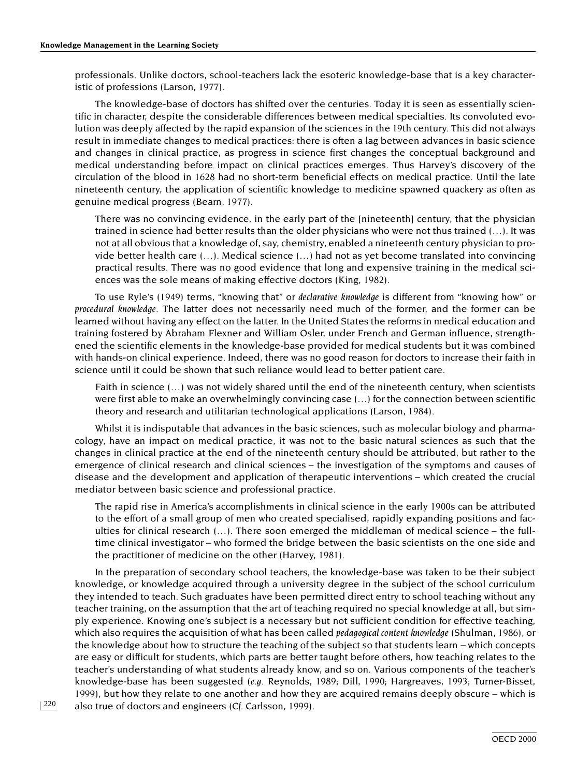professionals. Unlike doctors, school-teachers lack the esoteric knowledge-base that is a key characteristic of professions (Larson, 1977).

The knowledge-base of doctors has shifted over the centuries. Today it is seen as essentially scientific in character, despite the considerable differences between medical specialties. Its convoluted evolution was deeply affected by the rapid expansion of the sciences in the 19th century. This did not always result in immediate changes to medical practices: there is often a lag between advances in basic science and changes in clinical practice, as progress in science first changes the conceptual background and medical understanding before impact on clinical practices emerges. Thus Harvey's discovery of the circulation of the blood in 1628 had no short-term beneficial effects on medical practice. Until the late nineteenth century, the application of scientific knowledge to medicine spawned quackery as often as genuine medical progress (Bearn, 1977).

There was no convincing evidence, in the early part of the [nineteenth] century, that the physician trained in science had better results than the older physicians who were not thus trained (…). It was not at all obvious that a knowledge of, say, chemistry, enabled a nineteenth century physician to provide better health care (…). Medical science (…) had not as yet become translated into convincing practical results. There was no good evidence that long and expensive training in the medical sciences was the sole means of making effective doctors (King, 1982).

To use Ryle's (1949) terms, "knowing that" or *declarative knowledge* is different from "knowing how" or *procedural knowledge*. The latter does not necessarily need much of the former, and the former can be learned without having any effect on the latter. In the United States the reforms in medical education and training fostered by Abraham Flexner and William Osler, under French and German influence, strengthened the scientific elements in the knowledge-base provided for medical students but it was combined with hands-on clinical experience. Indeed, there was no good reason for doctors to increase their faith in science until it could be shown that such reliance would lead to better patient care.

Faith in science (…) was not widely shared until the end of the nineteenth century, when scientists were first able to make an overwhelmingly convincing case (…) for the connection between scientific theory and research and utilitarian technological applications (Larson, 1984).

Whilst it is indisputable that advances in the basic sciences, such as molecular biology and pharmacology, have an impact on medical practice, it was not to the basic natural sciences as such that the changes in clinical practice at the end of the nineteenth century should be attributed, but rather to the emergence of clinical research and clinical sciences – the investigation of the symptoms and causes of disease and the development and application of therapeutic interventions – which created the crucial mediator between basic science and professional practice.

The rapid rise in America's accomplishments in clinical science in the early 1900s can be attributed to the effort of a small group of men who created specialised, rapidly expanding positions and faculties for clinical research (…). There soon emerged the middleman of medical science – the fulltime clinical investigator – who formed the bridge between the basic scientists on the one side and the practitioner of medicine on the other (Harvey, 1981).

In the preparation of secondary school teachers, the knowledge-base was taken to be their subject knowledge, or knowledge acquired through a university degree in the subject of the school curriculum they intended to teach. Such graduates have been permitted direct entry to school teaching without any teacher training, on the assumption that the art of teaching required no special knowledge at all, but simply experience. Knowing one's subject is a necessary but not sufficient condition for effective teaching, which also requires the acquisition of what has been called *pedagogical content knowledge* (Shulman, 1986), or the knowledge about how to structure the teaching of the subject so that students learn – which concepts are easy or difficult for students, which parts are better taught before others, how teaching relates to the teacher's understanding of what students already know, and so on. Various components of the teacher's knowledge-base has been suggested (*e.g.* Reynolds, 1989; Dill, 1990; Hargreaves, 1993; Turner-Bisset, 1999), but how they relate to one another and how they are acquired remains deeply obscure – which is also true of doctors and engineers (*Cf.* Carlsson, 1999).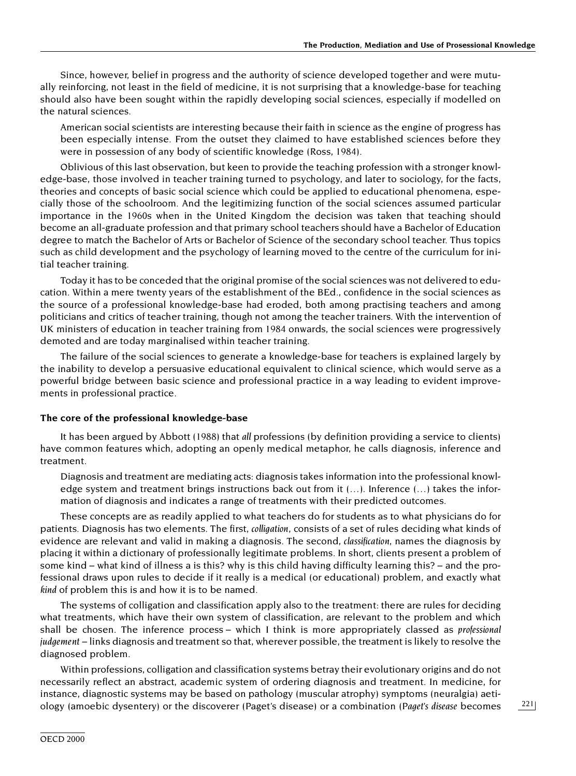Since, however, belief in progress and the authority of science developed together and were mutually reinforcing, not least in the field of medicine, it is not surprising that a knowledge-base for teaching should also have been sought within the rapidly developing social sciences, especially if modelled on the natural sciences.

American social scientists are interesting because their faith in science as the engine of progress has been especially intense. From the outset they claimed to have established sciences before they were in possession of any body of scientific knowledge (Ross, 1984).

Oblivious of this last observation, but keen to provide the teaching profession with a stronger knowledge-base, those involved in teacher training turned to psychology, and later to sociology, for the facts, theories and concepts of basic social science which could be applied to educational phenomena, especially those of the schoolroom. And the legitimizing function of the social sciences assumed particular importance in the 1960s when in the United Kingdom the decision was taken that teaching should become an all-graduate profession and that primary school teachers should have a Bachelor of Education degree to match the Bachelor of Arts or Bachelor of Science of the secondary school teacher. Thus topics such as child development and the psychology of learning moved to the centre of the curriculum for initial teacher training.

Today it has to be conceded that the original promise of the social sciences was not delivered to education. Within a mere twenty years of the establishment of the BEd., confidence in the social sciences as the source of a professional knowledge-base had eroded, both among practising teachers and among politicians and critics of teacher training, though not among the teacher trainers. With the intervention of UK ministers of education in teacher training from 1984 onwards, the social sciences were progressively demoted and are today marginalised within teacher training.

The failure of the social sciences to generate a knowledge-base for teachers is explained largely by the inability to develop a persuasive educational equivalent to clinical science, which would serve as a powerful bridge between basic science and professional practice in a way leading to evident improvements in professional practice.

# **The core of the professional knowledge-base**

It has been argued by Abbott (1988) that *all* professions (by definition providing a service to clients) have common features which, adopting an openly medical metaphor, he calls diagnosis, inference and treatment.

Diagnosis and treatment are mediating acts: diagnosis takes information into the professional knowledge system and treatment brings instructions back out from it (…). Inference (…) takes the information of diagnosis and indicates a range of treatments with their predicted outcomes.

These concepts are as readily applied to what teachers do for students as to what physicians do for patients. Diagnosis has two elements. The first, *colligation,* consists of a set of rules deciding what kinds of evidence are relevant and valid in making a diagnosis. The second, *classification,* names the diagnosis by placing it within a dictionary of professionally legitimate problems. In short, clients present a problem of some kind – what kind of illness a is this? why is this child having difficulty learning this? – and the professional draws upon rules to decide if it really is a medical (or educational) problem, and exactly what *kind* of problem this is and how it is to be named.

The systems of colligation and classification apply also to the treatment: there are rules for deciding what treatments, which have their own system of classification, are relevant to the problem and which shall be chosen. The inference process – which I think is more appropriately classed as *professional judgement –* links diagnosis and treatment so that, wherever possible, the treatment is likely to resolve the diagnosed problem.

Within professions, colligation and classification systems betray their evolutionary origins and do not necessarily reflect an abstract, academic system of ordering diagnosis and treatment. In medicine, for instance, diagnostic systems may be based on pathology (muscular atrophy) symptoms (neuralgia) aetiology (amoebic dysentery) or the discoverer (Paget's disease) or a combination (*Paget's disease* becomes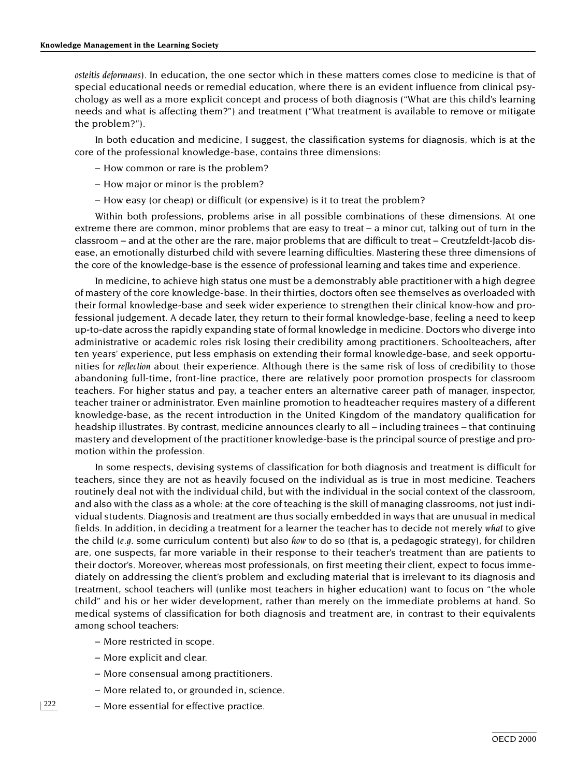*osteitis deformans*). In education, the one sector which in these matters comes close to medicine is that of special educational needs or remedial education, where there is an evident influence from clinical psychology as well as a more explicit concept and process of both diagnosis ("What are this child's learning needs and what is affecting them?") and treatment ("What treatment is available to remove or mitigate the problem?").

In both education and medicine, I suggest, the classification systems for diagnosis, which is at the core of the professional knowledge-base, contains three dimensions:

- How common or rare is the problem?
- How major or minor is the problem?
- How easy (or cheap) or difficult (or expensive) is it to treat the problem?

Within both professions, problems arise in all possible combinations of these dimensions. At one extreme there are common, minor problems that are easy to treat – a minor cut, talking out of turn in the classroom – and at the other are the rare, major problems that are difficult to treat – Creutzfeldt-Jacob disease, an emotionally disturbed child with severe learning difficulties. Mastering these three dimensions of the core of the knowledge-base is the essence of professional learning and takes time and experience.

In medicine, to achieve high status one must be a demonstrably able practitioner with a high degree of mastery of the core knowledge-base. In their thirties, doctors often see themselves as overloaded with their formal knowledge-base and seek wider experience to strengthen their clinical know-how and professional judgement. A decade later, they return to their formal knowledge-base, feeling a need to keep up-to-date across the rapidly expanding state of formal knowledge in medicine. Doctors who diverge into administrative or academic roles risk losing their credibility among practitioners. Schoolteachers, after ten years' experience, put less emphasis on extending their formal knowledge-base, and seek opportunities for *reflection* about their experience. Although there is the same risk of loss of credibility to those abandoning full-time, front-line practice, there are relatively poor promotion prospects for classroom teachers. For higher status and pay, a teacher enters an alternative career path of manager, inspector, teacher trainer or administrator. Even mainline promotion to headteacher requires mastery of a different knowledge-base, as the recent introduction in the United Kingdom of the mandatory qualification for headship illustrates. By contrast, medicine announces clearly to all – including trainees – that continuing mastery and development of the practitioner knowledge-base is the principal source of prestige and promotion within the profession.

In some respects, devising systems of classification for both diagnosis and treatment is difficult for teachers, since they are not as heavily focused on the individual as is true in most medicine. Teachers routinely deal not with the individual child, but with the individual in the social context of the classroom, and also with the class as a whole: at the core of teaching is the skill of managing classrooms, not just individual students. Diagnosis and treatment are thus socially embedded in ways that are unusual in medical fields. In addition, in deciding a treatment for a learner the teacher has to decide not merely *what* to give the child (*e.g.* some curriculum content) but also *how* to do so (that is, a pedagogic strategy), for children are, one suspects, far more variable in their response to their teacher's treatment than are patients to their doctor's. Moreover, whereas most professionals, on first meeting their client, expect to focus immediately on addressing the client's problem and excluding material that is irrelevant to its diagnosis and treatment, school teachers will (unlike most teachers in higher education) want to focus on "the whole child" and his or her wider development, rather than merely on the immediate problems at hand. So medical systems of classification for both diagnosis and treatment are, in contrast to their equivalents among school teachers:

- More restricted in scope.
- More explicit and clear.
- More consensual among practitioners.
- More related to, or grounded in, science.
- More essential for effective practice.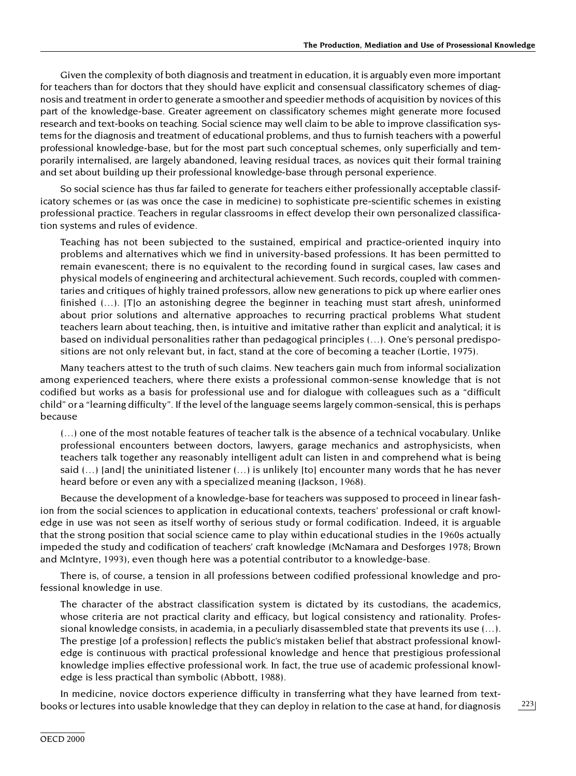Given the complexity of both diagnosis and treatment in education, it is arguably even more important for teachers than for doctors that they should have explicit and consensual classificatory schemes of diagnosis and treatment in order to generate a smoother and speedier methods of acquisition by novices of this part of the knowledge-base. Greater agreement on classificatory schemes might generate more focused research and text-books on teaching. Social science may well claim to be able to improve classification systems for the diagnosis and treatment of educational problems, and thus to furnish teachers with a powerful professional knowledge-base, but for the most part such conceptual schemes, only superficially and temporarily internalised, are largely abandoned, leaving residual traces, as novices quit their formal training and set about building up their professional knowledge-base through personal experience.

So social science has thus far failed to generate for teachers either professionally acceptable classificatory schemes or (as was once the case in medicine) to sophisticate pre-scientific schemes in existing professional practice. Teachers in regular classrooms in effect develop their own personalized classification systems and rules of evidence.

Teaching has not been subjected to the sustained, empirical and practice-oriented inquiry into problems and alternatives which we find in university-based professions. It has been permitted to remain evanescent; there is no equivalent to the recording found in surgical cases, law cases and physical models of engineering and architectural achievement. Such records, coupled with commentaries and critiques of highly trained professors, allow new generations to pick up where earlier ones finished (...). [T]o an astonishing degree the beginner in teaching must start afresh, uninformed about prior solutions and alternative approaches to recurring practical problems What student teachers learn about teaching, then, is intuitive and imitative rather than explicit and analytical; it is based on individual personalities rather than pedagogical principles (…). One's personal predispositions are not only relevant but, in fact, stand at the core of becoming a teacher (Lortie, 1975).

Many teachers attest to the truth of such claims. New teachers gain much from informal socialization among experienced teachers, where there exists a professional common-sense knowledge that is not codified but works as a basis for professional use and for dialogue with colleagues such as a "difficult child" or a "learning difficulty". If the level of the language seems largely common-sensical, this is perhaps because

(…) one of the most notable features of teacher talk is the absence of a technical vocabulary. Unlike professional encounters between doctors, lawyers, garage mechanics and astrophysicists, when teachers talk together any reasonably intelligent adult can listen in and comprehend what is being said (…) [and] the uninitiated listener (…) is unlikely [to] encounter many words that he has never heard before or even any with a specialized meaning (Jackson, 1968).

Because the development of a knowledge-base for teachers was supposed to proceed in linear fashion from the social sciences to application in educational contexts, teachers' professional or craft knowledge in use was not seen as itself worthy of serious study or formal codification. Indeed, it is arguable that the strong position that social science came to play within educational studies in the 1960s actually impeded the study and codification of teachers' craft knowledge (McNamara and Desforges 1978; Brown and McIntyre, 1993), even though here was a potential contributor to a knowledge-base.

There is, of course, a tension in all professions between codified professional knowledge and professional knowledge in use.

The character of the abstract classification system is dictated by its custodians, the academics, whose criteria are not practical clarity and efficacy, but logical consistency and rationality. Professional knowledge consists, in academia, in a peculiarly disassembled state that prevents its use (...). The prestige [of a profession] reflects the public's mistaken belief that abstract professional knowledge is continuous with practical professional knowledge and hence that prestigious professional knowledge implies effective professional work. In fact, the true use of academic professional knowledge is less practical than symbolic (Abbott, 1988).

In medicine, novice doctors experience difficulty in transferring what they have learned from textbooks or lectures into usable knowledge that they can deploy in relation to the case at hand, for diagnosis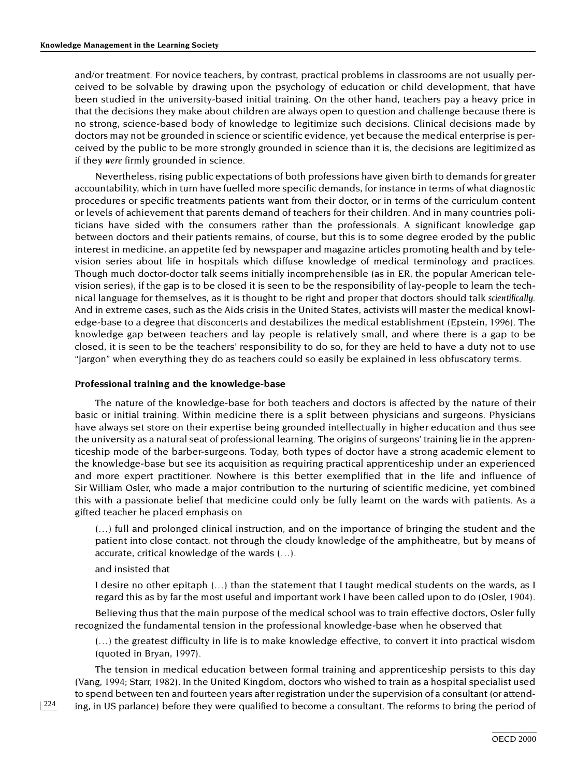and/or treatment. For novice teachers, by contrast, practical problems in classrooms are not usually perceived to be solvable by drawing upon the psychology of education or child development, that have been studied in the university-based initial training. On the other hand, teachers pay a heavy price in that the decisions they make about children are always open to question and challenge because there is no strong, science-based body of knowledge to legitimize such decisions. Clinical decisions made by doctors may not be grounded in science or scientific evidence, yet because the medical enterprise is perceived by the public to be more strongly grounded in science than it is, the decisions are legitimized as if they *were* firmly grounded in science.

Nevertheless, rising public expectations of both professions have given birth to demands for greater accountability, which in turn have fuelled more specific demands, for instance in terms of what diagnostic procedures or specific treatments patients want from their doctor, or in terms of the curriculum content or levels of achievement that parents demand of teachers for their children. And in many countries politicians have sided with the consumers rather than the professionals. A significant knowledge gap between doctors and their patients remains, of course, but this is to some degree eroded by the public interest in medicine, an appetite fed by newspaper and magazine articles promoting health and by television series about life in hospitals which diffuse knowledge of medical terminology and practices. Though much doctor-doctor talk seems initially incomprehensible (as in *ER,* the popular American television series), if the gap is to be closed it is seen to be the responsibility of lay-people to learn the technical language for themselves, as it is thought to be right and proper that doctors should talk *scientifically.* And in extreme cases, such as the Aids crisis in the United States, activists will master the medical knowledge-base to a degree that disconcerts and destabilizes the medical establishment (Epstein, 1996). The knowledge gap between teachers and lay people is relatively small, and where there is a gap to be closed, it is seen to be the teachers' responsibility to do so, for they are held to have a duty not to use "jargon" when everything they do as teachers could so easily be explained in less obfuscatory terms.

# **Professional training and the knowledge-base**

The nature of the knowledge-base for both teachers and doctors is affected by the nature of their basic or initial training. Within medicine there is a split between physicians and surgeons. Physicians have always set store on their expertise being grounded intellectually in higher education and thus see the university as a natural seat of professional learning. The origins of surgeons' training lie in the apprenticeship mode of the barber-surgeons. Today, both types of doctor have a strong academic element to the knowledge-base but see its acquisition as requiring practical apprenticeship under an experienced and more expert practitioner. Nowhere is this better exemplified that in the life and influence of Sir William Osler, who made a major contribution to the nurturing of scientific medicine, yet combined this with a passionate belief that medicine could only be fully learnt on the wards with patients. As a gifted teacher he placed emphasis on

(…) full and prolonged clinical instruction, and on the importance of bringing the student and the patient into close contact, not through the cloudy knowledge of the amphitheatre, but by means of accurate, critical knowledge of the wards (…).

# and insisted that

I desire no other epitaph (…) than the statement that I taught medical students on the wards, as I regard this as by far the most useful and important work I have been called upon to do (Osler, 1904).

Believing thus that the main purpose of the medical school was to train effective doctors, Osler fully recognized the fundamental tension in the professional knowledge-base when he observed that

(…) the greatest difficulty in life is to make knowledge effective, to convert it into practical wisdom (quoted in Bryan, 1997).

The tension in medical education between formal training and apprenticeship persists to this day (Vang, 1994; Starr, 1982). In the United Kingdom, doctors who wished to train as a hospital specialist used to spend between ten and fourteen years after registration under the supervision of a consultant (or attending, in US parlance) before they were qualified to become a consultant. The reforms to bring the period of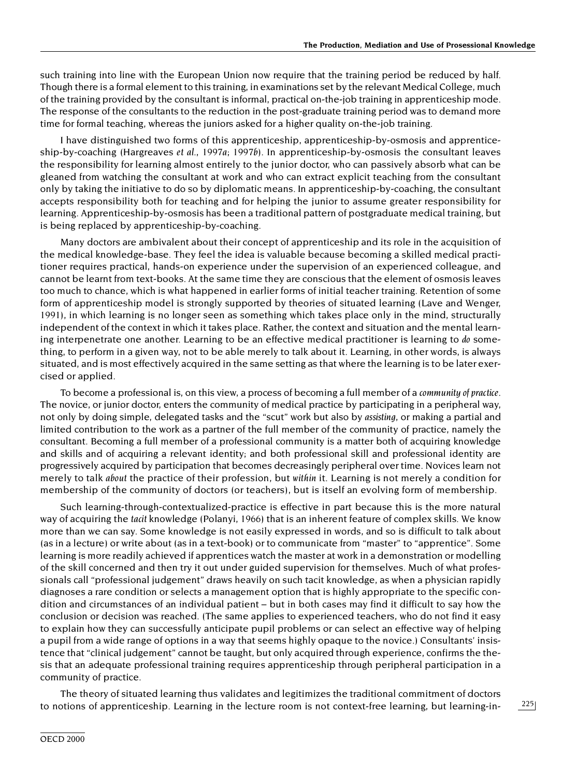such training into line with the European Union now require that the training period be reduced by half. Though there is a formal element to this training, in examinations set by the relevant Medical College, much of the training provided by the consultant is informal, practical on-the-job training in apprenticeship mode. The response of the consultants to the reduction in the post-graduate training period was to demand more time for formal teaching, whereas the juniors asked for a higher quality on-the-job training.

I have distinguished two forms of this apprenticeship, apprenticeship-by-osmosis and apprenticeship-by-coaching (Hargreaves *et al.*, 1997*a;* 1997*b*). In apprenticeship-by-osmosis the consultant leaves the responsibility for learning almost entirely to the junior doctor, who can passively absorb what can be gleaned from watching the consultant at work and who can extract explicit teaching from the consultant only by taking the initiative to do so by diplomatic means. In apprenticeship-by-coaching, the consultant accepts responsibility both for teaching and for helping the junior to assume greater responsibility for learning. Apprenticeship-by-osmosis has been a traditional pattern of postgraduate medical training, but is being replaced by apprenticeship-by-coaching.

Many doctors are ambivalent about their concept of apprenticeship and its role in the acquisition of the medical knowledge-base. They feel the idea is valuable because becoming a skilled medical practitioner requires practical, hands-on experience under the supervision of an experienced colleague, and cannot be learnt from text-books. At the same time they are conscious that the element of osmosis leaves too much to chance, which is what happened in earlier forms of initial teacher training. Retention of some form of apprenticeship model is strongly supported by theories of situated learning (Lave and Wenger, 1991), in which learning is no longer seen as something which takes place only in the mind, structurally independent of the context in which it takes place. Rather, the context and situation and the mental learning interpenetrate one another. Learning to be an effective medical practitioner is learning to *do* something*,* to perform in a given way, not to be able merely to talk about it. Learning, in other words, is always situated, and is most effectively acquired in the same setting as that where the learning is to be later exercised or applied.

To become a professional is, on this view, a process of becoming a full member of a *community of practice.* The novice, or junior doctor, enters the community of medical practice by participating in a peripheral way, not only by doing simple, delegated tasks and the "scut" work but also by *assisting,* or making a partial and limited contribution to the work as a partner of the full member of the community of practice, namely the consultant. Becoming a full member of a professional community is a matter both of acquiring knowledge and skills and of acquiring a relevant identity; and both professional skill and professional identity are progressively acquired by participation that becomes decreasingly peripheral over time. Novices learn not merely to talk *about* the practice of their profession, but *within* it. Learning is not merely a condition for membership of the community of doctors (or teachers), but is itself an evolving form of membership.

Such learning-through-contextualized-practice is effective in part because this is the more natural way of acquiring the *tacit* knowledge (Polanyi, 1966) that is an inherent feature of complex skills. We know more than we can say. Some knowledge is not easily expressed in words, and so is difficult to talk about (as in a lecture) or write about (as in a text-book) or to communicate from "master" to "apprentice". Some learning is more readily achieved if apprentices watch the master at work in a demonstration or modelling of the skill concerned and then try it out under guided supervision for themselves. Much of what professionals call "professional judgement" draws heavily on such tacit knowledge, as when a physician rapidly diagnoses a rare condition or selects a management option that is highly appropriate to the specific condition and circumstances of an individual patient – but in both cases may find it difficult to say how the conclusion or decision was reached. (The same applies to experienced teachers, who do not find it easy to explain how they can successfully anticipate pupil problems or can select an effective way of helping a pupil from a wide range of options in a way that seems highly opaque to the novice.) Consultants' insistence that "clinical judgement" cannot be taught, but only acquired through experience, confirms the thesis that an adequate professional training requires apprenticeship through peripheral participation in a community of practice.

The theory of situated learning thus validates and legitimizes the traditional commitment of doctors to notions of apprenticeship. Learning in the lecture room is not context-free learning, but learning-in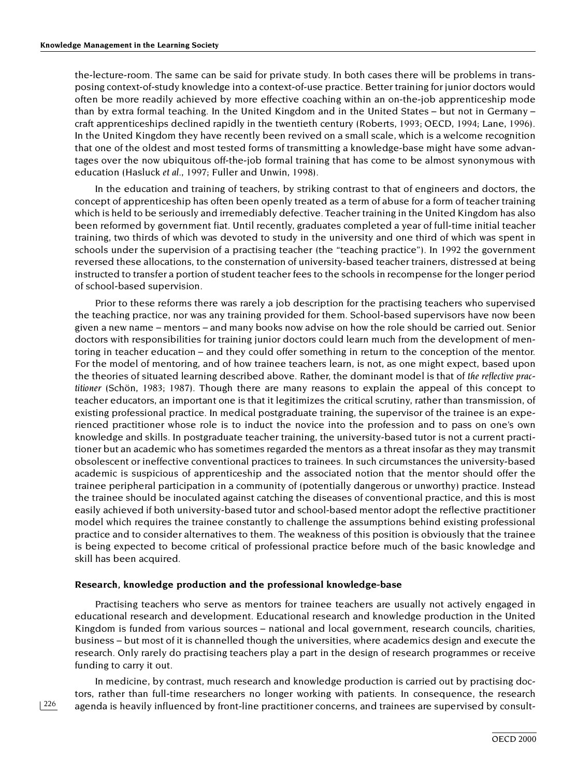the-lecture-room. The same can be said for private study. In both cases there will be problems in transposing context-of-study knowledge into a context-of-use practice. Better training for junior doctors would often be more readily achieved by more effective coaching within an on-the-job apprenticeship mode than by extra formal teaching. In the United Kingdom and in the United States – but not in Germany – craft apprenticeships declined rapidly in the twentieth century (Roberts, 1993; OECD, 1994; Lane, 1996). In the United Kingdom they have recently been revived on a small scale, which is a welcome recognition that one of the oldest and most tested forms of transmitting a knowledge-base might have some advantages over the now ubiquitous off-the-job formal training that has come to be almost synonymous with education (Hasluck *et al.*, 1997; Fuller and Unwin, 1998).

In the education and training of teachers, by striking contrast to that of engineers and doctors, the concept of apprenticeship has often been openly treated as a term of abuse for a form of teacher training which is held to be seriously and irremediably defective. Teacher training in the United Kingdom has also been reformed by government fiat. Until recently, graduates completed a year of full-time initial teacher training, two thirds of which was devoted to study in the university and one third of which was spent in schools under the supervision of a practising teacher (the "teaching practice"). In 1992 the government reversed these allocations, to the consternation of university-based teacher trainers, distressed at being instructed to transfer a portion of student teacher fees to the schools in recompense for the longer period of school-based supervision.

Prior to these reforms there was rarely a job description for the practising teachers who supervised the teaching practice, nor was any training provided for them. School-based supervisors have now been given a new name – mentors – and many books now advise on how the role should be carried out. Senior doctors with responsibilities for training junior doctors could learn much from the development of mentoring in teacher education – and they could offer something in return to the conception of the mentor. For the model of mentoring, and of how trainee teachers learn, is not, as one might expect, based upon the theories of situated learning described above. Rather, the dominant model is that of *the reflective practitioner* (Schön, 1983; 1987). Though there are many reasons to explain the appeal of this concept to teacher educators, an important one is that it legitimizes the critical scrutiny, rather than transmission, of existing professional practice. In medical postgraduate training, the supervisor of the trainee is an experienced practitioner whose role is to induct the novice into the profession and to pass on one's own knowledge and skills. In postgraduate teacher training, the university-based tutor is not a current practitioner but an academic who has sometimes regarded the mentors as a threat insofar as they may transmit obsolescent or ineffective conventional practices to trainees. In such circumstances the university-based academic is suspicious of apprenticeship and the associated notion that the mentor should offer the trainee peripheral participation in a community of (potentially dangerous or unworthy) practice. Instead the trainee should be inoculated against catching the diseases of conventional practice, and this is most easily achieved if both university-based tutor and school-based mentor adopt the reflective practitioner model which requires the trainee constantly to challenge the assumptions behind existing professional practice and to consider alternatives to them. The weakness of this position is obviously that the trainee is being expected to become critical of professional practice before much of the basic knowledge and skill has been acquired.

# **Research, knowledge production and the professional knowledge-base**

Practising teachers who serve as mentors for trainee teachers are usually not actively engaged in educational research and development. Educational research and knowledge production in the United Kingdom is funded from various sources – national and local government, research councils, charities, business – but most of it is channelled though the universities, where academics design and execute the research. Only rarely do practising teachers play a part in the design of research programmes or receive funding to carry it out.

In medicine, by contrast, much research and knowledge production is carried out by practising doctors, rather than full-time researchers no longer working with patients. In consequence, the research agenda is heavily influenced by front-line practitioner concerns, and trainees are supervised by consult-

 *226*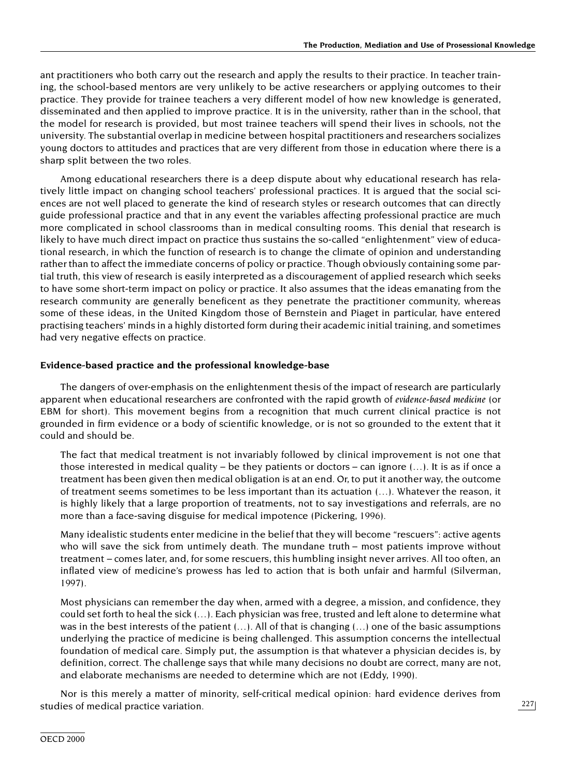ant practitioners who both carry out the research and apply the results to their practice. In teacher training, the school-based mentors are very unlikely to be active researchers or applying outcomes to their practice. They provide for trainee teachers a very different model of how new knowledge is generated, disseminated and then applied to improve practice. It is in the university, rather than in the school, that the model for research is provided, but most trainee teachers will spend their lives in schools, not the university. The substantial overlap in medicine between hospital practitioners and researchers socializes young doctors to attitudes and practices that are very different from those in education where there is a sharp split between the two roles.

Among educational researchers there is a deep dispute about why educational research has relatively little impact on changing school teachers' professional practices. It is argued that the social sciences are not well placed to generate the kind of research styles or research outcomes that can directly guide professional practice and that in any event the variables affecting professional practice are much more complicated in school classrooms than in medical consulting rooms. This denial that research is likely to have much direct impact on practice thus sustains the so-called "enlightenment" view of educational research, in which the function of research is to change the climate of opinion and understanding rather than to affect the immediate concerns of policy or practice. Though obviously containing some partial truth, this view of research is easily interpreted as a discouragement of applied research which seeks to have some short-term impact on policy or practice. It also assumes that the ideas emanating from the research community are generally beneficent as they penetrate the practitioner community, whereas some of these ideas, in the United Kingdom those of Bernstein and Piaget in particular, have entered practising teachers' minds in a highly distorted form during their academic initial training, and sometimes had very negative effects on practice.

# **Evidence-based practice and the professional knowledge-base**

The dangers of over-emphasis on the enlightenment thesis of the impact of research are particularly apparent when educational researchers are confronted with the rapid growth of *evidence-based medicine* (or EBM for short). This movement begins from a recognition that much current clinical practice is not grounded in firm evidence or a body of scientific knowledge, or is not so grounded to the extent that it could and should be.

The fact that medical treatment is not invariably followed by clinical improvement is not one that those interested in medical quality – be they patients or doctors – can ignore (…). It is as if once a treatment has been given then medical obligation is at an end. Or, to put it another way, the outcome of treatment seems sometimes to be less important than its actuation (…). Whatever the reason, it is highly likely that a large proportion of treatments, not to say investigations and referrals, are no more than a face-saving disguise for medical impotence (Pickering, 1996).

Many idealistic students enter medicine in the belief that they will become "rescuers": active agents who will save the sick from untimely death. The mundane truth – most patients improve without treatment – comes later, and, for some rescuers, this humbling insight never arrives. All too often, an inflated view of medicine's prowess has led to action that is both unfair and harmful (Silverman, 1997).

Most physicians can remember the day when, armed with a degree, a mission, and confidence, they could set forth to heal the sick (…). Each physician was free, trusted and left alone to determine what was in the best interests of the patient (...). All of that is changing (...) one of the basic assumptions underlying the practice of medicine is being challenged. This assumption concerns the intellectual foundation of medical care. Simply put, the assumption is that whatever a physician decides is, by definition, correct. The challenge says that while many decisions no doubt are correct, many are not, and elaborate mechanisms are needed to determine which are not (Eddy, 1990).

Nor is this merely a matter of minority, self-critical medical opinion: hard evidence derives from studies of medical practice variation.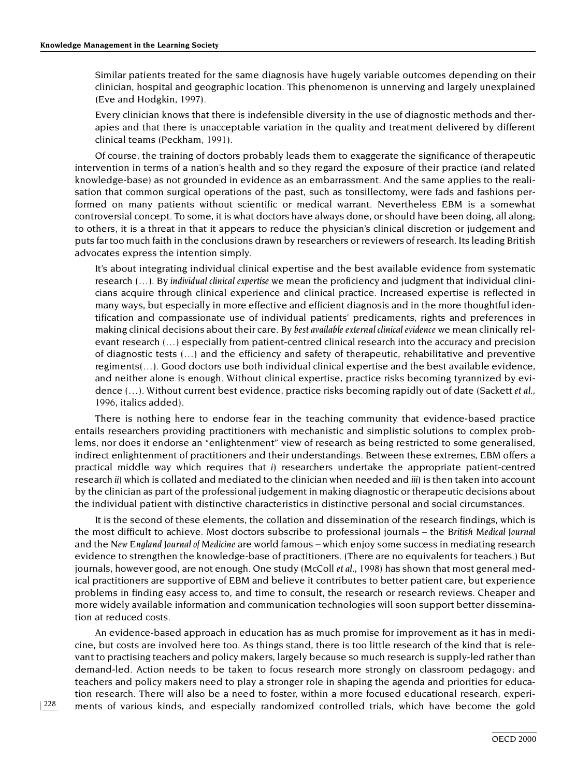Similar patients treated for the same diagnosis have hugely variable outcomes depending on their clinician, hospital and geographic location. This phenomenon is unnerving and largely unexplained (Eve and Hodgkin, 1997).

Every clinician knows that there is indefensible diversity in the use of diagnostic methods and therapies and that there is unacceptable variation in the quality and treatment delivered by different clinical teams (Peckham, 1991).

Of course, the training of doctors probably leads them to exaggerate the significance of therapeutic intervention in terms of a nation's health and so they regard the exposure of their practice (and related knowledge-base) as not grounded in evidence as an embarrassment. And the same applies to the realisation that common surgical operations of the past, such as tonsillectomy, were fads and fashions performed on many patients without scientific or medical warrant. Nevertheless EBM is a somewhat controversial concept. To some, it is what doctors have always done, or should have been doing, all along; to others, it is a threat in that it appears to reduce the physician's clinical discretion or judgement and puts far too much faith in the conclusions drawn by researchers or reviewers of research. Its leading British advocates express the intention simply.

It's about integrating individual clinical expertise and the best available evidence from systematic research (…). By *individual clinical expertise* we mean the proficiency and judgment that individual clinicians acquire through clinical experience and clinical practice. Increased expertise is reflected in many ways, but especially in more effective and efficient diagnosis and in the more thoughtful identification and compassionate use of individual patients' predicaments, rights and preferences in making clinical decisions about their care. By *best available external clinical evidence* we mean clinically relevant research (…) especially from patient-centred clinical research into the accuracy and precision of diagnostic tests (…) and the efficiency and safety of therapeutic, rehabilitative and preventive regiments(…). Good doctors use both individual clinical expertise and the best available evidence, and neither alone is enough. Without clinical expertise, practice risks becoming tyrannized by evidence (…). Without current best evidence, practice risks becoming rapidly out of date (Sackett *et al.,* 1996, italics added).

There is nothing here to endorse fear in the teaching community that evidence-based practice entails researchers providing practitioners with mechanistic and simplistic solutions to complex problems, nor does it endorse an "enlightenment" view of research as being restricted to some generalised, indirect enlightenment of practitioners and their understandings. Between these extremes, EBM offers a practical middle way which requires that *i)* researchers undertake the appropriate patient-centred research *ii)* which is collated and mediated to the clinician when needed and *iii)* is then taken into account by the clinician as part of the professional judgement in making diagnostic or therapeutic decisions about the individual patient with distinctive characteristics in distinctive personal and social circumstances.

It is the second of these elements, the collation and dissemination of the research findings, which is the most difficult to achieve. Most doctors subscribe to professional journals – the *British Medical Journal* and the *New England Journal of Medicine* are world famous – which enjoy some success in mediating research evidence to strengthen the knowledge-base of practitioners. (There are no equivalents for teachers.) But journals, however good, are not enough. One study (McColl *et al.,* 1998) has shown that most general medical practitioners are supportive of EBM and believe it contributes to better patient care, but experience problems in finding easy access to, and time to consult, the research or research reviews. Cheaper and more widely available information and communication technologies will soon support better dissemination at reduced costs.

An evidence-based approach in education has as much promise for improvement as it has in medicine, but costs are involved here too. As things stand, there is too little research of the kind that is relevant to practising teachers and policy makers, largely because so much research is supply-led rather than demand-led. Action needs to be taken to focus research more strongly on classroom pedagogy; and teachers and policy makers need to play a stronger role in shaping the agenda and priorities for education research. There will also be a need to foster, within a more focused educational research, experiments of various kinds, and especially randomized controlled trials, which have become the gold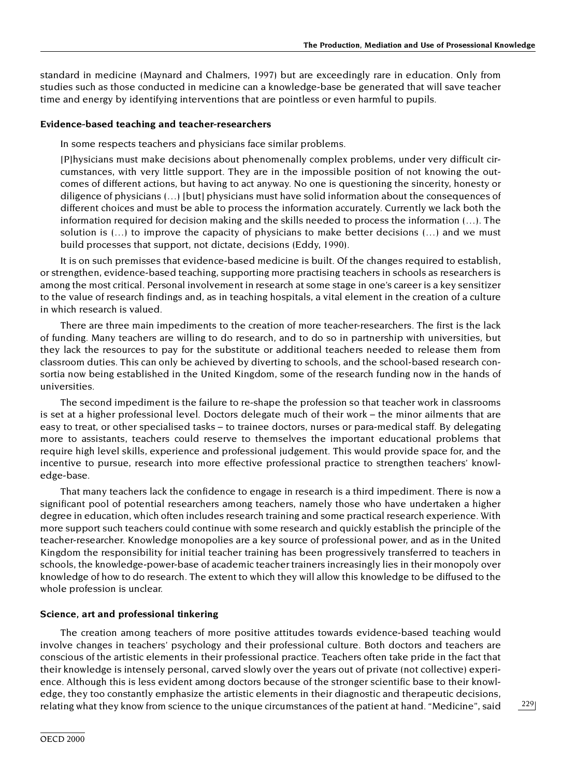standard in medicine (Maynard and Chalmers, 1997) but are exceedingly rare in education. Only from studies such as those conducted in medicine can a knowledge-base be generated that will save teacher time and energy by identifying interventions that are pointless or even harmful to pupils.

# **Evidence-based teaching and teacher-researchers**

In some respects teachers and physicians face similar problems.

[P]hysicians must make decisions about phenomenally complex problems, under very difficult circumstances, with very little support. They are in the impossible position of not knowing the outcomes of different actions, but having to act anyway. No one is questioning the sincerity, honesty or diligence of physicians (…) [but] physicians must have solid information about the consequences of different choices and must be able to process the information accurately. Currently we lack both the information required for decision making and the skills needed to process the information (…). The solution is  $(...)$  to improve the capacity of physicians to make better decisions  $(...)$  and we must build processes that support, not dictate, decisions (Eddy, 1990).

It is on such premisses that evidence-based medicine is built. Of the changes required to establish, or strengthen, evidence-based teaching, supporting more practising teachers in schools as researchers is among the most critical. Personal involvement in research at some stage in one's career is a key sensitizer to the value of research findings and, as in teaching hospitals, a vital element in the creation of a culture in which research is valued.

There are three main impediments to the creation of more teacher-researchers. The first is the lack of funding. Many teachers are willing to do research, and to do so in partnership with universities, but they lack the resources to pay for the substitute or additional teachers needed to release them from classroom duties. This can only be achieved by diverting to schools, and the school-based research consortia now being established in the United Kingdom, some of the research funding now in the hands of universities.

The second impediment is the failure to re-shape the profession so that teacher work in classrooms is set at a higher professional level. Doctors delegate much of their work – the minor ailments that are easy to treat, or other specialised tasks – to trainee doctors, nurses or para-medical staff. By delegating more to assistants, teachers could reserve to themselves the important educational problems that require high level skills, experience and professional judgement. This would provide space for, and the incentive to pursue, research into more effective professional practice to strengthen teachers' knowledge-base.

That many teachers lack the confidence to engage in research is a third impediment. There is now a significant pool of potential researchers among teachers, namely those who have undertaken a higher degree in education, which often includes research training and some practical research experience. With more support such teachers could continue with some research and quickly establish the principle of the teacher-researcher. Knowledge monopolies are a key source of professional power, and as in the United Kingdom the responsibility for initial teacher training has been progressively transferred to teachers in schools, the knowledge-power-base of academic teacher trainers increasingly lies in their monopoly over knowledge of how to do research. The extent to which they will allow this knowledge to be diffused to the whole profession is unclear.

# **Science, art and professional tinkering**

The creation among teachers of more positive attitudes towards evidence-based teaching would involve changes in teachers' psychology and their professional culture. Both doctors and teachers are conscious of the artistic elements in their professional practice. Teachers often take pride in the fact that their knowledge is intensely personal, carved slowly over the years out of private (not collective) experience. Although this is less evident among doctors because of the stronger scientific base to their knowledge, they too constantly emphasize the artistic elements in their diagnostic and therapeutic decisions, relating what they know from science to the unique circumstances of the patient at hand. "Medicine", said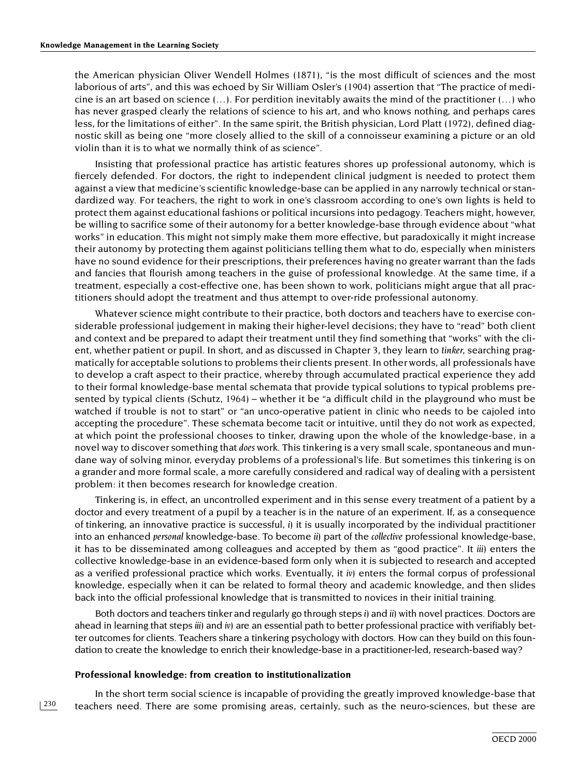the American physician Oliver Wendell Holmes (1871), "is the most difficult of sciences and the most laborious of arts", and this was echoed by Sir William Osler's (1904) assertion that "The practice of medicine is an art based on science (…). For perdition inevitably awaits the mind of the practitioner (…) who has never grasped clearly the relations of science to his art, and who knows nothing, and perhaps cares less, for the limitations of either". In the same spirit, the British physician, Lord Platt (1972), defined diagnostic skill as being one "more closely allied to the skill of a connoisseur examining a picture or an old violin than it is to what we normally think of as science".

Insisting that professional practice has artistic features shores up professional autonomy, which is fiercely defended. For doctors, the right to independent clinical judgment is needed to protect them against a view that medicine's scientific knowledge-base can be applied in any narrowly technical or standardized way. For teachers, the right to work in one's classroom according to one's own lights is held to protect them against educational fashions or political incursions into pedagogy. Teachers might, however, be willing to sacrifice some of their autonomy for a better knowledge-base through evidence about "what works" in education. This might not simply make them more effective, but paradoxically it might increase their autonomy by protecting them against politicians telling them what to do, especially when ministers have no sound evidence for their prescriptions, their preferences having no greater warrant than the fads and fancies that flourish among teachers in the guise of professional knowledge. At the same time, if a treatment, especially a cost-effective one, has been shown to work, politicians might argue that all practitioners should adopt the treatment and thus attempt to over-ride professional autonomy.

Whatever science might contribute to their practice, both doctors and teachers have to exercise considerable professional judgement in making their higher-level decisions; they have to "read" both client and context and be prepared to adapt their treatment until they find something that "works" with the client, whether patient or pupil. In short, and as discussed in Chapter 3, they learn to *tinker*, searching pragmatically for acceptable solutions to problems their clients present. In other words, all professionals have to develop a craft aspect to their practice, whereby through accumulated practical experience they add to their formal knowledge-base mental schemata that provide typical solutions to typical problems presented by typical clients (Schutz, 1964) – whether it be "a difficult child in the playground who must be watched if trouble is not to start" or "an unco-operative patient in clinic who needs to be cajoled into accepting the procedure". These schemata become tacit or intuitive, until they do not work as expected, at which point the professional chooses to tinker, drawing upon the whole of the knowledge-base, in a novel way to discover something that *does* work. This tinkering is a very small scale, spontaneous and mundane way of solving minor, everyday problems of a professional's life. But sometimes this tinkering is on a grander and more formal scale, a more carefully considered and radical way of dealing with a persistent problem: it then becomes research for knowledge creation.

Tinkering is, in effect, an uncontrolled experiment and in this sense every treatment of a patient by a doctor and every treatment of a pupil by a teacher is in the nature of an experiment. If, as a consequence of tinkering, an innovative practice is successful, *i)* it is usually incorporated by the individual practitioner into an enhanced *personal* knowledge-base. To become *ii)* part of the *collective* professional knowledge-base, it has to be disseminated among colleagues and accepted by them as "good practice". It *iii)* enters the collective knowledge-base in an evidence-based form only when it is subjected to research and accepted as a verified professional practice which works. Eventually, it *iv)* enters the formal corpus of professional knowledge, especially when it can be related to formal theory and academic knowledge, and then slides back into the official professional knowledge that is transmitted to novices in their initial training.

Both doctors and teachers tinker and regularly go through steps *i)* and *ii)* with novel practices. Doctors are ahead in learning that steps *iii)* and *iv)* are an essential path to better professional practice with verifiably better outcomes for clients. Teachers share a tinkering psychology with doctors. How can they build on this foundation to create the knowledge to enrich their knowledge-base in a practitioner-led, research-based way?

### **Professional knowledge: from creation to institutionalization**

 *230*

In the short term social science is incapable of providing the greatly improved knowledge-base that teachers need. There are some promising areas, certainly, such as the neuro-sciences, but these are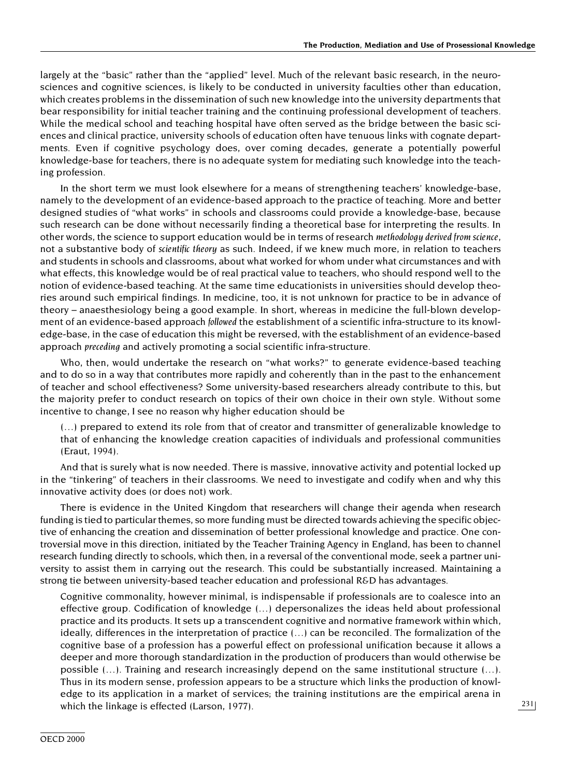largely at the "basic" rather than the "applied" level. Much of the relevant basic research, in the neurosciences and cognitive sciences, is likely to be conducted in university faculties other than education, which creates problems in the dissemination of such new knowledge into the university departments that bear responsibility for initial teacher training and the continuing professional development of teachers. While the medical school and teaching hospital have often served as the bridge between the basic sciences and clinical practice, university schools of education often have tenuous links with cognate departments. Even if cognitive psychology does, over coming decades, generate a potentially powerful knowledge-base for teachers, there is no adequate system for mediating such knowledge into the teaching profession.

In the short term we must look elsewhere for a means of strengthening teachers' knowledge-base, namely to the development of an evidence-based approach to the practice of teaching. More and better designed studies of "what works" in schools and classrooms could provide a knowledge-base, because such research can be done without necessarily finding a theoretical base for interpreting the results. In other words, the science to support education would be in terms of research *methodology derived from science*, not a substantive body of *scientific theory* as such. Indeed, if we knew much more, in relation to teachers and students in schools and classrooms, about what worked for whom under what circumstances and with what effects, this knowledge would be of real practical value to teachers, who should respond well to the notion of evidence-based teaching. At the same time educationists in universities should develop theories around such empirical findings. In medicine, too, it is not unknown for practice to be in advance of theory – anaesthesiology being a good example. In short, whereas in medicine the full-blown development of an evidence-based approach *followed* the establishment of a scientific infra-structure to its knowledge-base, in the case of education this might be reversed, with the establishment of an evidence-based approach *preceding* and actively promoting a social scientific infra-structure.

Who, then, would undertake the research on "what works?" to generate evidence-based teaching and to do so in a way that contributes more rapidly and coherently than in the past to the enhancement of teacher and school effectiveness? Some university-based researchers already contribute to this, but the majority prefer to conduct research on topics of their own choice in their own style. Without some incentive to change, I see no reason why higher education should be

(…) prepared to extend its role from that of creator and transmitter of generalizable knowledge to that of enhancing the knowledge creation capacities of individuals and professional communities (Eraut, 1994).

And that is surely what is now needed. There is massive, innovative activity and potential locked up in the "tinkering" of teachers in their classrooms. We need to investigate and codify when and why this innovative activity does (or does not) work.

There is evidence in the United Kingdom that researchers will change their agenda when research funding is tied to particular themes, so more funding must be directed towards achieving the specific objective of enhancing the creation and dissemination of better professional knowledge and practice. One controversial move in this direction, initiated by the Teacher Training Agency in England, has been to channel research funding directly to schools, which then, in a reversal of the conventional mode, seek a partner university to assist them in carrying out the research. This could be substantially increased. Maintaining a strong tie between university-based teacher education and professional R&D has advantages.

Cognitive commonality, however minimal, is indispensable if professionals are to coalesce into an effective group. Codification of knowledge (…) depersonalizes the ideas held about professional practice and its products. It sets up a transcendent cognitive and normative framework within which, ideally, differences in the interpretation of practice (…) can be reconciled. The formalization of the cognitive base of a profession has a powerful effect on professional unification because it allows a deeper and more thorough standardization in the production of producers than would otherwise be possible (…). Training and research increasingly depend on the same institutional structure (…). Thus in its modern sense, profession appears to be a structure which links the production of knowledge to its application in a market of services; the training institutions are the empirical arena in which the linkage is effected (Larson, 1977).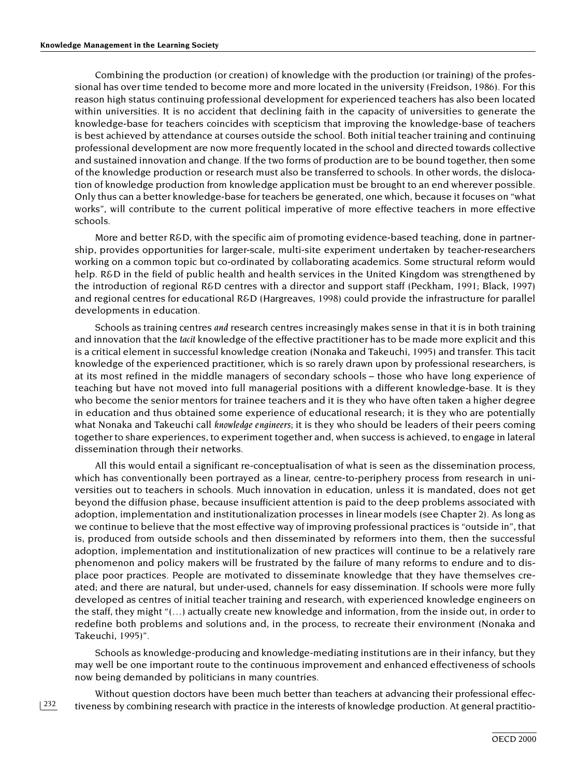*232*

Combining the production (or creation) of knowledge with the production (or training) of the professional has over time tended to become more and more located in the university (Freidson, 1986). For this reason high status continuing professional development for experienced teachers has also been located within universities. It is no accident that declining faith in the capacity of universities to generate the knowledge-base for teachers coincides with scepticism that improving the knowledge-base of teachers is best achieved by attendance at courses outside the school. Both initial teacher training and continuing professional development are now more frequently located in the school and directed towards collective and sustained innovation and change. If the two forms of production are to be bound together, then some of the knowledge production or research must also be transferred to schools. In other words, the dislocation of knowledge production from knowledge application must be brought to an end wherever possible. Only thus can a better knowledge-base for teachers be generated, one which, because it focuses on "what works", will contribute to the current political imperative of more effective teachers in more effective schools.

More and better R&D, with the specific aim of promoting evidence-based teaching, done in partnership, provides opportunities for larger-scale, multi-site experiment undertaken by teacher-researchers working on a common topic but co-ordinated by collaborating academics. Some structural reform would help. R&D in the field of public health and health services in the United Kingdom was strengthened by the introduction of regional R&D centres with a director and support staff (Peckham, 1991; Black, 1997) and regional centres for educational R&D (Hargreaves, 1998) could provide the infrastructure for parallel developments in education.

Schools as training centres *and* research centres increasingly makes sense in that it is in both training and innovation that the *tacit* knowledge of the effective practitioner has to be made more explicit and this is a critical element in successful knowledge creation (Nonaka and Takeuchi, 1995) and transfer. This tacit knowledge of the experienced practitioner, which is so rarely drawn upon by professional researchers, is at its most refined in the middle managers of secondary schools – those who have long experience of teaching but have not moved into full managerial positions with a different knowledge-base. It is they who become the senior mentors for trainee teachers and it is they who have often taken a higher degree in education and thus obtained some experience of educational research; it is they who are potentially what Nonaka and Takeuchi call *knowledge engineers;* it is they who should be leaders of their peers coming together to share experiences, to experiment together and, when success is achieved, to engage in lateral dissemination through their networks.

All this would entail a significant re-conceptualisation of what is seen as the dissemination process, which has conventionally been portrayed as a linear, centre-to-periphery process from research in universities out to teachers in schools. Much innovation in education, unless it is mandated, does not get beyond the diffusion phase, because insufficient attention is paid to the deep problems associated with adoption, implementation and institutionalization processes in linear models (see Chapter 2). As long as we continue to believe that the most effective way of improving professional practices is "outside in", that is, produced from outside schools and then disseminated by reformers into them, then the successful adoption, implementation and institutionalization of new practices will continue to be a relatively rare phenomenon and policy makers will be frustrated by the failure of many reforms to endure and to displace poor practices. People are motivated to disseminate knowledge that they have themselves created; and there are natural, but under-used, channels for easy dissemination. If schools were more fully developed as centres of initial teacher training and research, with experienced knowledge engineers on the staff, they might "(…) actually create new knowledge and information, from the inside out, in order to redefine both problems and solutions and, in the process, to recreate their environment (Nonaka and Takeuchi, 1995)".

Schools as knowledge-producing and knowledge-mediating institutions are in their infancy, but they may well be one important route to the continuous improvement and enhanced effectiveness of schools now being demanded by politicians in many countries.

Without question doctors have been much better than teachers at advancing their professional effectiveness by combining research with practice in the interests of knowledge production. At general practitio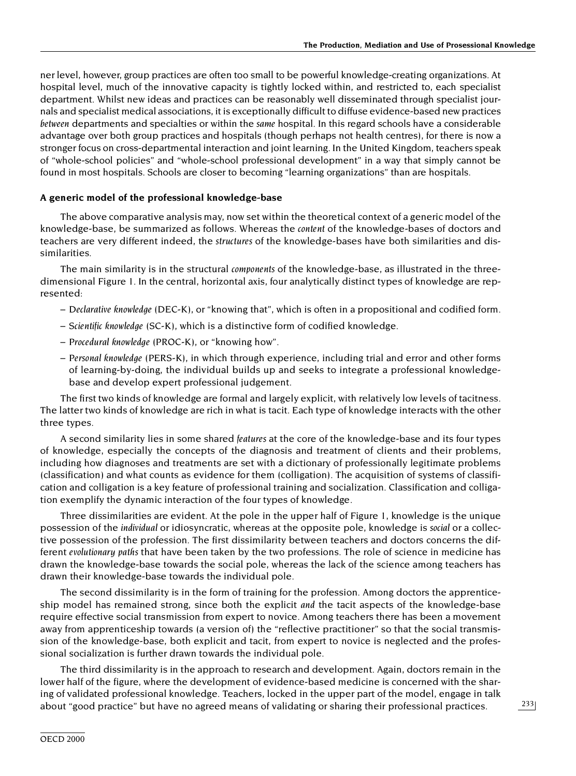ner level, however, group practices are often too small to be powerful knowledge-creating organizations. At hospital level, much of the innovative capacity is tightly locked within, and restricted to, each specialist department. Whilst new ideas and practices can be reasonably well disseminated through specialist journals and specialist medical associations, it is exceptionally difficult to diffuse evidence-based new practices *between* departments and specialties or within the *same* hospital. In this regard schools have a considerable advantage over both group practices and hospitals (though perhaps not health centres), for there is now a stronger focus on cross-departmental interaction and joint learning. In the United Kingdom, teachers speak of "whole-school policies" and "whole-school professional development" in a way that simply cannot be found in most hospitals. Schools are closer to becoming "learning organizations" than are hospitals.

# **A generic model of the professional knowledge-base**

The above comparative analysis may, now set within the theoretical context of a generic model of the knowledge-base, be summarized as follows. Whereas the *content* of the knowledge-bases of doctors and teachers are very different indeed, the *structures* of the knowledge-bases have both similarities and dissimilarities.

The main similarity is in the structural *components* of the knowledge-base, as illustrated in the threedimensional Figure 1. In the central, horizontal axis, four analytically distinct types of knowledge are represented:

- *Declarative knowledge* (DEC-K), or "knowing that", which is often in a propositional and codified form.
- *Scientific knowledge* (SC-K), which is a distinctive form of codified knowledge.
- *Procedural knowledge* (PROC-K), or "knowing how".
- *Personal knowledge* (PERS-K), in which through experience, including trial and error and other forms of learning-by-doing, the individual builds up and seeks to integrate a professional knowledgebase and develop expert professional judgement.

The first two kinds of knowledge are formal and largely explicit, with relatively low levels of tacitness. The latter two kinds of knowledge are rich in what is tacit. Each type of knowledge interacts with the other three types.

A second similarity lies in some shared *features* at the core of the knowledge-base and its four types of knowledge, especially the concepts of the diagnosis and treatment of clients and their problems, including how diagnoses and treatments are set with a dictionary of professionally legitimate problems (classification) and what counts as evidence for them (colligation). The acquisition of systems of classification and colligation is a key feature of professional training and socialization. Classification and colligation exemplify the dynamic interaction of the four types of knowledge.

Three dissimilarities are evident. At the pole in the upper half of Figure 1, knowledge is the unique possession of the *individual* or idiosyncratic, whereas at the opposite pole, knowledge is *social* or a collective possession of the profession. The first dissimilarity between teachers and doctors concerns the different *evolutionary paths* that have been taken by the two professions. The role of science in medicine has drawn the knowledge-base towards the social pole, whereas the lack of the science among teachers has drawn their knowledge-base towards the individual pole.

The second dissimilarity is in the form of training for the profession. Among doctors the apprenticeship model has remained strong, since both the explicit *and* the tacit aspects of the knowledge-base require effective social transmission from expert to novice. Among teachers there has been a movement away from apprenticeship towards (a version of) the "reflective practitioner" so that the social transmission of the knowledge-base, both explicit and tacit, from expert to novice is neglected and the professional socialization is further drawn towards the individual pole.

The third dissimilarity is in the approach to research and development. Again, doctors remain in the lower half of the figure, where the development of evidence-based medicine is concerned with the sharing of validated professional knowledge. Teachers, locked in the upper part of the model, engage in talk about "good practice" but have no agreed means of validating or sharing their professional practices.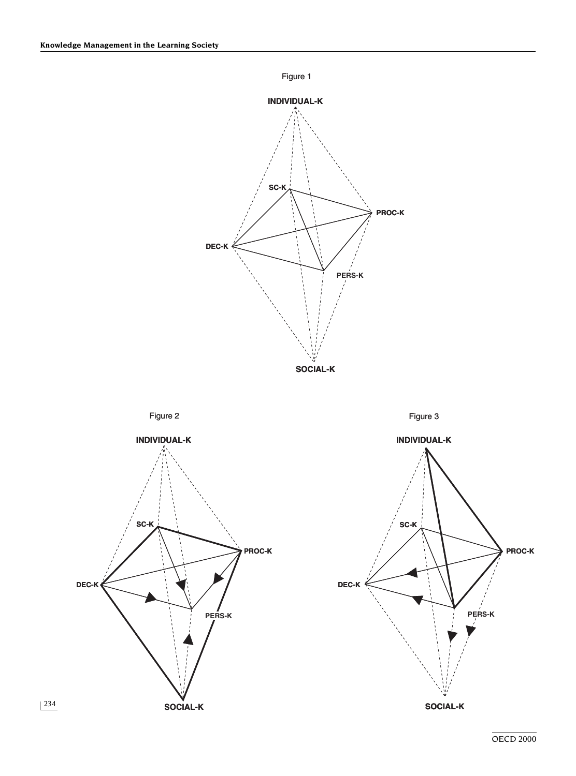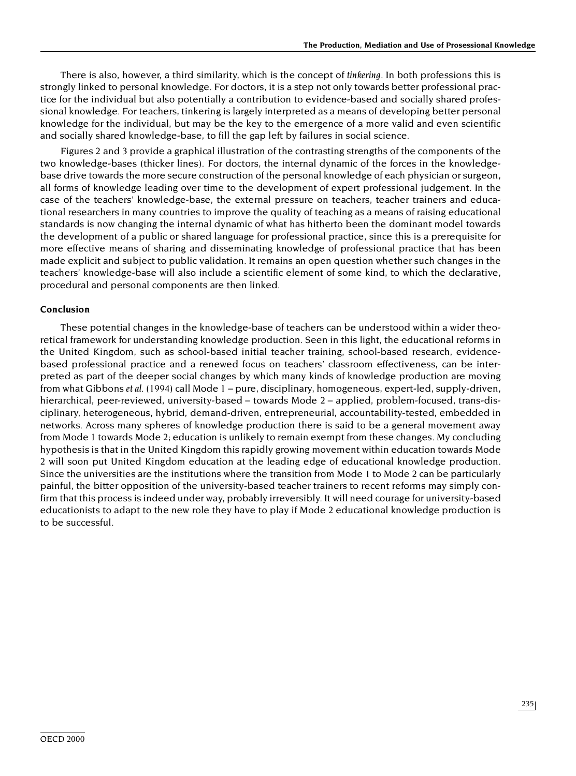There is also, however, a third similarity, which is the concept of *tinkering.* In both professions this is strongly linked to personal knowledge. For doctors, it is a step not only towards better professional practice for the individual but also potentially a contribution to evidence-based and socially shared professional knowledge. For teachers, tinkering is largely interpreted as a means of developing better personal knowledge for the individual, but may be the key to the emergence of a more valid and even scientific and socially shared knowledge-base, to fill the gap left by failures in social science.

Figures 2 and 3 provide a graphical illustration of the contrasting strengths of the components of the two knowledge-bases (thicker lines). For doctors, the internal dynamic of the forces in the knowledgebase drive towards the more secure construction of the personal knowledge of each physician or surgeon, all forms of knowledge leading over time to the development of expert professional judgement. In the case of the teachers' knowledge-base, the external pressure on teachers, teacher trainers and educational researchers in many countries to improve the quality of teaching as a means of raising educational standards is now changing the internal dynamic of what has hitherto been the dominant model towards the development of a public or shared language for professional practice, since this is a prerequisite for more effective means of sharing and disseminating knowledge of professional practice that has been made explicit and subject to public validation. It remains an open question whether such changes in the teachers' knowledge-base will also include a scientific element of some kind, to which the declarative, procedural and personal components are then linked.

# **Conclusion**

These potential changes in the knowledge-base of teachers can be understood within a wider theoretical framework for understanding knowledge production. Seen in this light, the educational reforms in the United Kingdom, such as school-based initial teacher training, school-based research, evidencebased professional practice and a renewed focus on teachers' classroom effectiveness, can be interpreted as part of the deeper social changes by which many kinds of knowledge production are moving from what Gibbons *et al.* (1994) call Mode 1 – pure, disciplinary, homogeneous, expert-led, supply-driven, hierarchical, peer-reviewed, university-based – towards Mode 2 – applied, problem-focused, trans-disciplinary, heterogeneous, hybrid, demand-driven, entrepreneurial, accountability-tested, embedded in networks. Across many spheres of knowledge production there is said to be a general movement away from Mode 1 towards Mode 2; education is unlikely to remain exempt from these changes. My concluding hypothesis is that in the United Kingdom this rapidly growing movement within education towards Mode 2 will soon put United Kingdom education at the leading edge of educational knowledge production. Since the universities are the institutions where the transition from Mode 1 to Mode 2 can be particularly painful, the bitter opposition of the university-based teacher trainers to recent reforms may simply confirm that this process is indeed under way, probably irreversibly. It will need courage for university-based educationists to adapt to the new role they have to play if Mode 2 educational knowledge production is to be successful.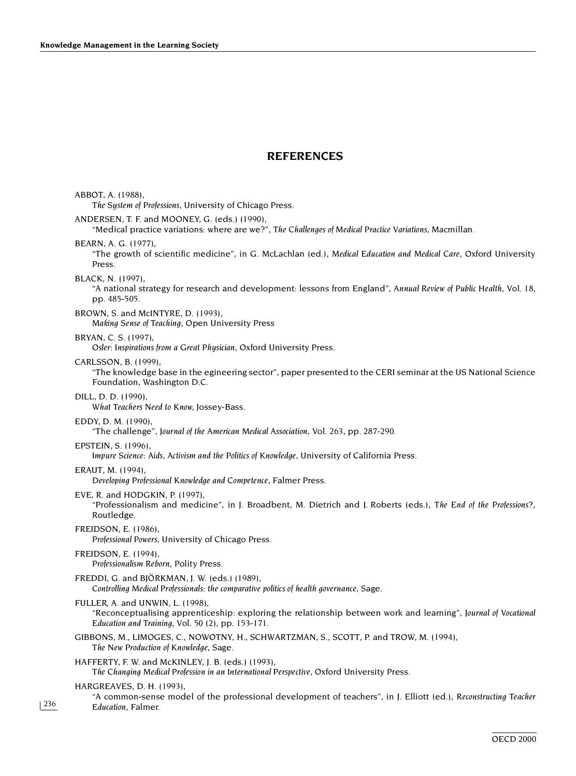# **REFERENCES**

ABBOT, A. (1988), *The System of Professions,* University of Chicago Press. ANDERSEN, T. F. and MOONEY, G. (eds.) (1990), "Medical practice variations: where are we?", *The Challenges of Medical Practice Variations,* Macmillan. BEARN, A. G. (1977), "The growth of scientific medicine", in G. McLachlan (ed.), *Medical Education and Medical Care,* Oxford University Press. BLACK, N. (1997), "A national strategy for research and development: lessons from England", *Annual Review of Public Health,* Vol. 18, pp. 485-505. BROWN, S. and McINTYRE, D. (1993), *Making Sense of Teaching,* Open University Press BRYAN, C. S. (1997), *Osler: Inspirations from a Great Physician,* Oxford University Press. CARLSSON, B. (1999), "The knowledge base in the egineering sector", paper presented to the CERI seminar at the US National Science Foundation, Washington D.C. DILL, D. D. (1990), *What Teachers Need to Know,* Jossey-Bass. EDDY, D. M. (1990), "The challenge", *Journal of the American Medical Association,* Vol. 263, pp. 287-290. EPSTEIN, S. (1996), *Impure Science: Aids, Activism and the Politics of Knowledge,* University of California Press. ERAUT, M. (1994), *Developing Professional Knowledge and Competence*, Falmer Press. EVE, R. and HODGKIN, P. (1997), "Professionalism and medicine", in J. Broadbent, M. Dietrich and J. Roberts (eds.), *The End of the Professions?*, Routledge. FREIDSON, E. (1986), *Professional Powers,* University of Chicago Press. FREIDSON, E. (1994), *Professionalism Reborn,* Polity Press. FREDDI, G. and BJÖRKMAN, J. W. (eds.) (1989), *Controlling Medical Professionals: the comparative politics of health governance*, Sage. FULLER, A. and UNWIN, L. (1998), "Reconceptualising apprenticeship: exploring the relationship between work and learning", *Journal of Vocational Education and Training,* Vol. 50 (2), pp. 153-171. GIBBONS, M., LIMOGES, C., NOWOTNY, H., SCHWARTZMAN, S., SCOTT, P. and TROW, M. (1994), *The New Production of Knowledge,* Sage. HAFFERTY, F. W. and McKINLEY, J. B. (eds.) (1993), The Changing Medical Profession in an International Perspective, Oxford University Press. HARGREAVES, D. H. (1993), "A common-sense model of the professional development of teachers", in J. Elliott (ed.), *Reconstructing Teacher Education,* Falmer.

 *236*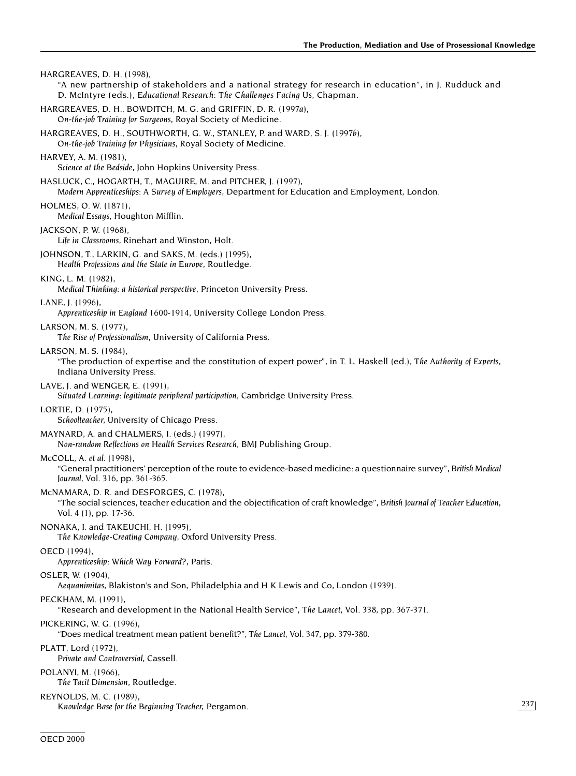HARGREAVES, D. H. (1998), "A new partnership of stakeholders and a national strategy for research in education", in J. Rudduck and D. McIntyre (eds.), *Educational Research: The Challenges Facing Us,* Chapman. HARGREAVES, D. H., BOWDITCH, M. G. and GRIFFIN, D. R. (1997*a*), *On-the-job Training for Surgeons,* Royal Society of Medicine. HARGREAVES, D. H., SOUTHWORTH, G. W., STANLEY, P. and WARD, S. J. (1997*b*), *On-the-job Training for Physicians,* Royal Society of Medicine. HARVEY, A. M. (1981), *Science at the Bedside,* John Hopkins University Press. HASLUCK, C., HOGARTH, T., MAGUIRE, M. and PITCHER, J. (1997), *Modern Apprenticeships: A Survey of Employers,* Department for Education and Employment, London. HOLMES, O. W. (1871), *Medical Essays,* Houghton Mifflin. JACKSON, P. W. (1968), *Life in Classrooms,* Rinehart and Winston, Holt. JOHNSON, T., LARKIN, G. and SAKS, M. (eds.) (1995), *Health Professions and the State in Europe,* Routledge. KING, L. M. (1982), *Medical Thinking: a historical perspective,* Princeton University Press. LANE, J. (1996), *Apprenticeship in England 1600-1914,* University College London Press. LARSON, M. S. (1977), *The Rise of Professionalism,* University of California Press. LARSON, M. S. (1984), "The production of expertise and the constitution of expert power", in T. L. Haskell (ed.), *The Authority of Experts,* Indiana University Press. LAVE, J. and WENGER, E. (1991), *Situated Learning: legitimate peripheral participation,* Cambridge University Press. LORTIE, D. (1975), *Schoolteacher,* University of Chicago Press. MAYNARD, A. and CHALMERS, I. (eds.) (1997), *Non-random Reflections on Health Services Research,* BMJ Publishing Group. McCOLL, A. *et al.* (1998), "General practitioners' perception of the route to evidence-based medicine: a questionnaire survey", *British Medical Journal,* Vol. 316, pp. 361-365. McNAMARA, D. R. and DESFORGES, C. (1978), "The social sciences, teacher education and the objectification of craft knowledge", *British Journal of Teacher Education,* Vol. 4 (1), pp. 17-36. NONAKA, I. and TAKEUCHI, H. (1995), *The Knowledge-Creating Company,* Oxford University Press. OECD (1994), *Apprenticeship: Which Way Forward?*, Paris. OSLER, W. (1904), *Aequanimitas,* Blakiston's and Son, Philadelphia and H K Lewis and Co, London (1939). PECKHAM, M. (1991), "Research and development in the National Health Service", *The Lancet,* Vol. 338, pp. 367-371. PICKERING, W. G. (1996), "Does medical treatment mean patient benefit?", *The Lancet,* Vol. 347, pp. 379-380. PLATT, Lord (1972), *Private and Controversial,* Cassell. POLANYI, M. (1966), *The Tacit Dimension*, Routledge. REYNOLDS, M. C. (1989), *Knowledge Base for the Beginning Teacher,* Pergamon.